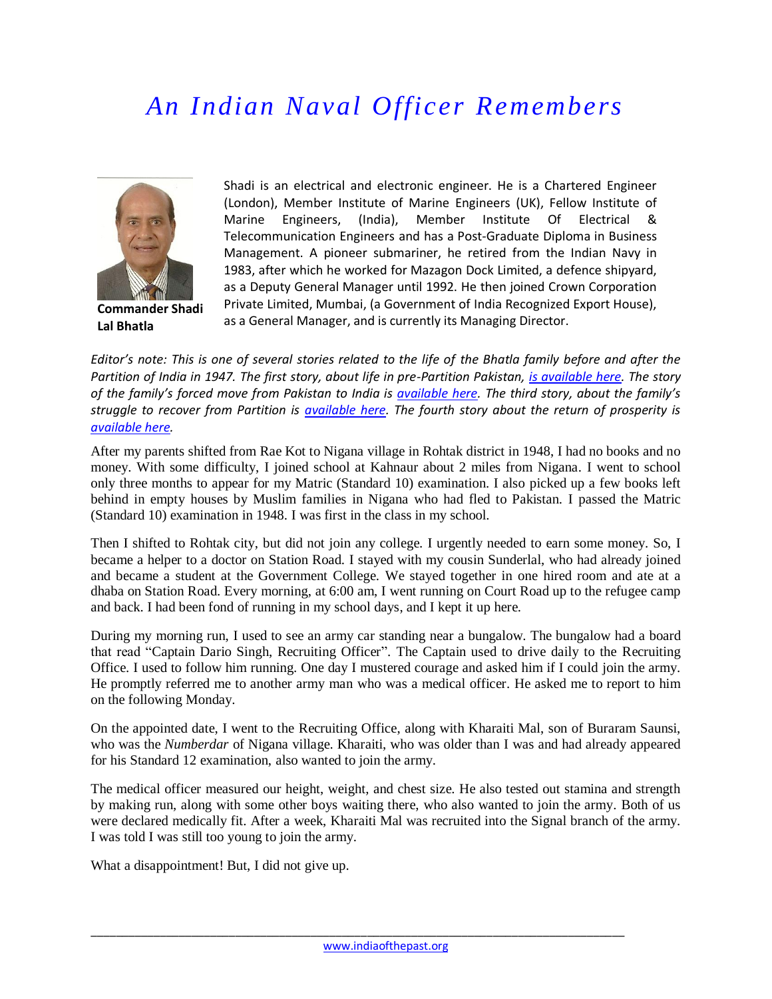## *An Indian Naval Officer Remembers*



**Commander Shadi Lal Bhatla** 

Shadi is an electrical and electronic engineer. He is a Chartered Engineer (London), Member Institute of Marine Engineers (UK), Fellow Institute of Marine Engineers, (India), Member Institute Of Electrical & Telecommunication Engineers and has a Post-Graduate Diploma in Business Management. A pioneer submariner, he retired from the Indian Navy in 1983, after which he worked for Mazagon Dock Limited, a defence shipyard, as a Deputy General Manager until 1992. He then joined Crown Corporation Private Limited, Mumbai, (a Government of India Recognized Export House), as a General Manager, and is currently its Managing Director.

*Editor's note: This is one of several stories related to the life of the Bhatla family before and after the Partition of India in 1947. The first story, about life in pre-Partition Pakistan, [is available here.](http://www.indiaofthepast.org/contribute-memories/read-contributions/life-back-then/271-a-prosperous-and-peaceful-village-life-pre-partition) The story of the family's forced move from Pakistan to India is [available here](http://www.indiaofthepast.org/contribute-memories/read-contributions/major-events-pre-1950/270-from-kot-khan-pakistan-to-success-in-india-1947-57). The third story, about the family's struggle to recover from Partition is [available here.](http://www.indiaofthepast.org/contribute-memories/read-contributions/life-back-then/272-our-struggle-to-recover-from-indias-partition) The fourth story about the return of prosperity is [available here.](http://www.indiaofthepast.org/contribute-memories/read-contributions/life-back-then/274-prosperity-returns-partition-problems-overcome)*

After my parents shifted from Rae Kot to Nigana village in Rohtak district in 1948, I had no books and no money. With some difficulty, I joined school at Kahnaur about 2 miles from Nigana. I went to school only three months to appear for my Matric (Standard 10) examination. I also picked up a few books left behind in empty houses by Muslim families in Nigana who had fled to Pakistan. I passed the Matric (Standard 10) examination in 1948. I was first in the class in my school.

Then I shifted to Rohtak city, but did not join any college. I urgently needed to earn some money. So, I became a helper to a doctor on Station Road. I stayed with my cousin Sunderlal, who had already joined and became a student at the Government College. We stayed together in one hired room and ate at a dhaba on Station Road. Every morning, at 6:00 am, I went running on Court Road up to the refugee camp and back. I had been fond of running in my school days, and I kept it up here.

During my morning run, I used to see an army car standing near a bungalow. The bungalow had a board that read "Captain Dario Singh, Recruiting Officer". The Captain used to drive daily to the Recruiting Office. I used to follow him running. One day I mustered courage and asked him if I could join the army. He promptly referred me to another army man who was a medical officer. He asked me to report to him on the following Monday.

On the appointed date, I went to the Recruiting Office, along with Kharaiti Mal, son of Buraram Saunsi, who was the *Numberdar* of Nigana village. Kharaiti, who was older than I was and had already appeared for his Standard 12 examination, also wanted to join the army.

The medical officer measured our height, weight, and chest size. He also tested out stamina and strength by making run, along with some other boys waiting there, who also wanted to join the army. Both of us were declared medically fit. After a week, Kharaiti Mal was recruited into the Signal branch of the army. I was told I was still too young to join the army.

What a disappointment! But, I did not give up.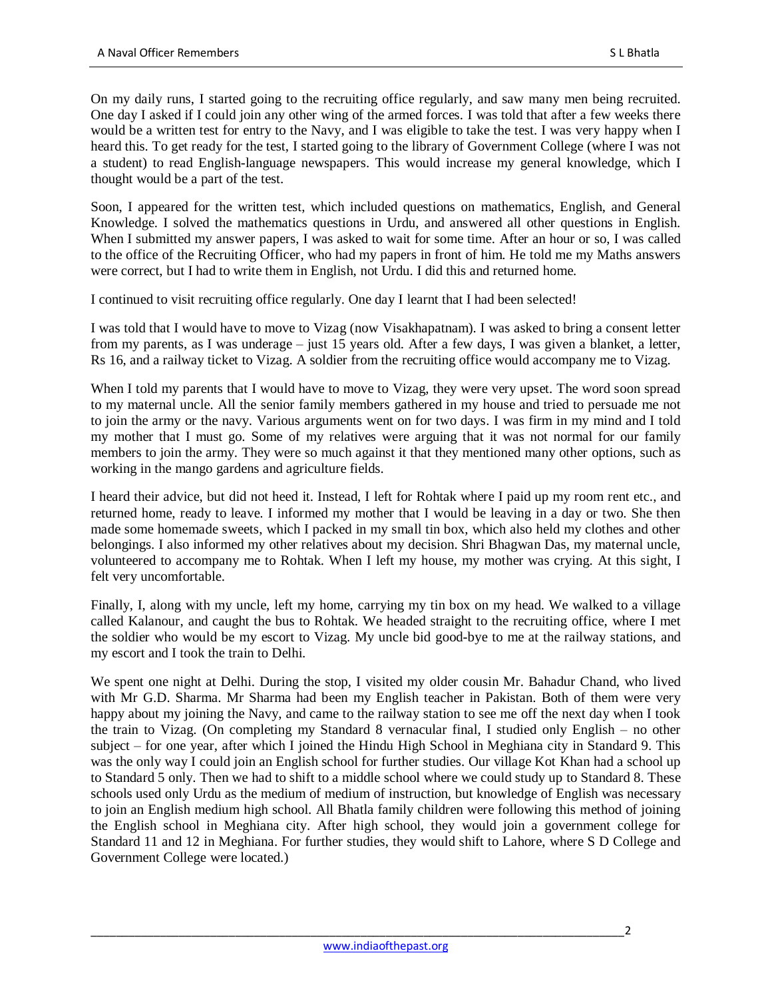On my daily runs, I started going to the recruiting office regularly, and saw many men being recruited. One day I asked if I could join any other wing of the armed forces. I was told that after a few weeks there would be a written test for entry to the Navy, and I was eligible to take the test. I was very happy when I heard this. To get ready for the test, I started going to the library of Government College (where I was not a student) to read English-language newspapers. This would increase my general knowledge, which I thought would be a part of the test.

Soon, I appeared for the written test, which included questions on mathematics, English, and General Knowledge. I solved the mathematics questions in Urdu, and answered all other questions in English. When I submitted my answer papers, I was asked to wait for some time. After an hour or so, I was called to the office of the Recruiting Officer, who had my papers in front of him. He told me my Maths answers were correct, but I had to write them in English, not Urdu. I did this and returned home.

I continued to visit recruiting office regularly. One day I learnt that I had been selected!

I was told that I would have to move to Vizag (now Visakhapatnam). I was asked to bring a consent letter from my parents, as I was underage – just 15 years old. After a few days, I was given a blanket, a letter, Rs 16, and a railway ticket to Vizag. A soldier from the recruiting office would accompany me to Vizag.

When I told my parents that I would have to move to Vizag, they were very upset. The word soon spread to my maternal uncle. All the senior family members gathered in my house and tried to persuade me not to join the army or the navy. Various arguments went on for two days. I was firm in my mind and I told my mother that I must go. Some of my relatives were arguing that it was not normal for our family members to join the army. They were so much against it that they mentioned many other options, such as working in the mango gardens and agriculture fields.

I heard their advice, but did not heed it. Instead, I left for Rohtak where I paid up my room rent etc., and returned home, ready to leave. I informed my mother that I would be leaving in a day or two. She then made some homemade sweets, which I packed in my small tin box, which also held my clothes and other belongings. I also informed my other relatives about my decision. Shri Bhagwan Das, my maternal uncle, volunteered to accompany me to Rohtak. When I left my house, my mother was crying. At this sight, I felt very uncomfortable.

Finally, I, along with my uncle, left my home, carrying my tin box on my head. We walked to a village called Kalanour, and caught the bus to Rohtak. We headed straight to the recruiting office, where I met the soldier who would be my escort to Vizag. My uncle bid good-bye to me at the railway stations, and my escort and I took the train to Delhi.

We spent one night at Delhi. During the stop, I visited my older cousin Mr. Bahadur Chand, who lived with Mr G.D. Sharma. Mr Sharma had been my English teacher in Pakistan. Both of them were very happy about my joining the Navy, and came to the railway station to see me off the next day when I took the train to Vizag. (On completing my Standard 8 vernacular final, I studied only English – no other subject – for one year, after which I joined the Hindu High School in Meghiana city in Standard 9. This was the only way I could join an English school for further studies. Our village Kot Khan had a school up to Standard 5 only. Then we had to shift to a middle school where we could study up to Standard 8. These schools used only Urdu as the medium of medium of instruction, but knowledge of English was necessary to join an English medium high school. All Bhatla family children were following this method of joining the English school in Meghiana city. After high school, they would join a government college for Standard 11 and 12 in Meghiana. For further studies, they would shift to Lahore, where S D College and Government College were located.)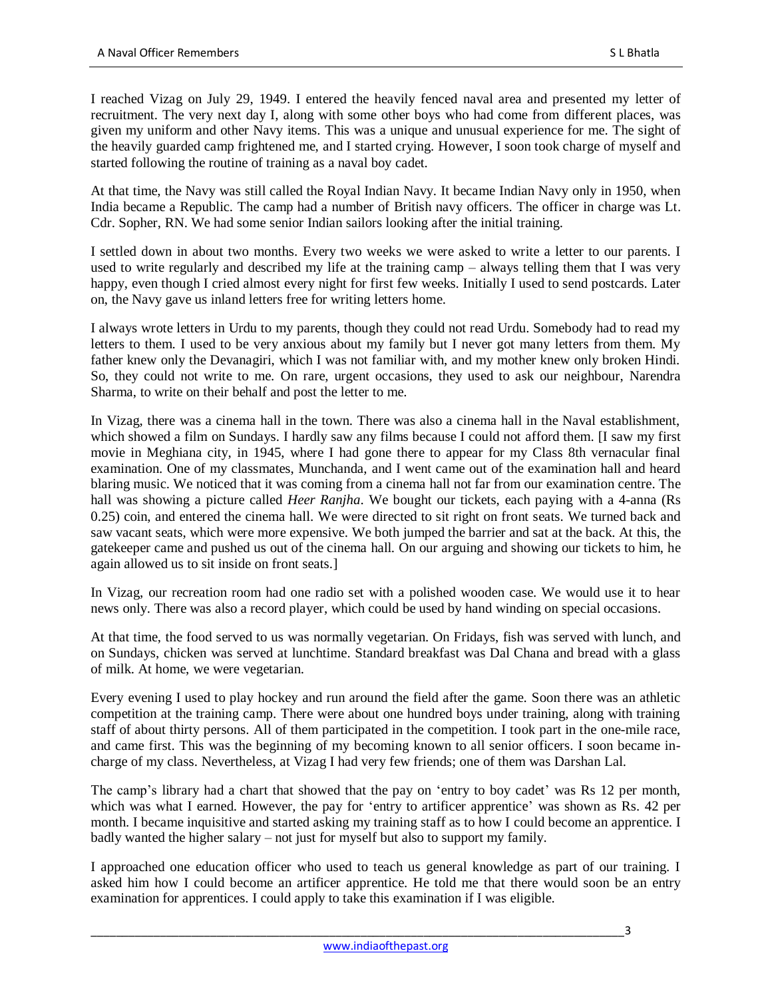I reached Vizag on July 29, 1949. I entered the heavily fenced naval area and presented my letter of recruitment. The very next day I, along with some other boys who had come from different places, was given my uniform and other Navy items. This was a unique and unusual experience for me. The sight of the heavily guarded camp frightened me, and I started crying. However, I soon took charge of myself and started following the routine of training as a naval boy cadet.

At that time, the Navy was still called the Royal Indian Navy. It became Indian Navy only in 1950, when India became a Republic. The camp had a number of British navy officers. The officer in charge was Lt. Cdr. Sopher, RN. We had some senior Indian sailors looking after the initial training.

I settled down in about two months. Every two weeks we were asked to write a letter to our parents. I used to write regularly and described my life at the training camp – always telling them that I was very happy, even though I cried almost every night for first few weeks. Initially I used to send postcards. Later on, the Navy gave us inland letters free for writing letters home.

I always wrote letters in Urdu to my parents, though they could not read Urdu. Somebody had to read my letters to them. I used to be very anxious about my family but I never got many letters from them. My father knew only the Devanagiri, which I was not familiar with, and my mother knew only broken Hindi. So, they could not write to me. On rare, urgent occasions, they used to ask our neighbour, Narendra Sharma, to write on their behalf and post the letter to me.

In Vizag, there was a cinema hall in the town. There was also a cinema hall in the Naval establishment, which showed a film on Sundays. I hardly saw any films because I could not afford them. [I saw my first movie in Meghiana city, in 1945, where I had gone there to appear for my Class 8th vernacular final examination. One of my classmates, Munchanda, and I went came out of the examination hall and heard blaring music. We noticed that it was coming from a cinema hall not far from our examination centre. The hall was showing a picture called *Heer Ranjha*. We bought our tickets, each paying with a 4-anna (Rs 0.25) coin, and entered the cinema hall. We were directed to sit right on front seats. We turned back and saw vacant seats, which were more expensive. We both jumped the barrier and sat at the back. At this, the gatekeeper came and pushed us out of the cinema hall. On our arguing and showing our tickets to him, he again allowed us to sit inside on front seats.]

In Vizag, our recreation room had one radio set with a polished wooden case. We would use it to hear news only. There was also a record player, which could be used by hand winding on special occasions.

At that time, the food served to us was normally vegetarian. On Fridays, fish was served with lunch, and on Sundays, chicken was served at lunchtime. Standard breakfast was Dal Chana and bread with a glass of milk. At home, we were vegetarian.

Every evening I used to play hockey and run around the field after the game. Soon there was an athletic competition at the training camp. There were about one hundred boys under training, along with training staff of about thirty persons. All of them participated in the competition. I took part in the one-mile race, and came first. This was the beginning of my becoming known to all senior officers. I soon became incharge of my class. Nevertheless, at Vizag I had very few friends; one of them was Darshan Lal.

The camp's library had a chart that showed that the pay on 'entry to boy cadet' was Rs 12 per month, which was what I earned. However, the pay for 'entry to artificer apprentice' was shown as Rs. 42 per month. I became inquisitive and started asking my training staff as to how I could become an apprentice. I badly wanted the higher salary – not just for myself but also to support my family.

I approached one education officer who used to teach us general knowledge as part of our training. I asked him how I could become an artificer apprentice. He told me that there would soon be an entry examination for apprentices. I could apply to take this examination if I was eligible.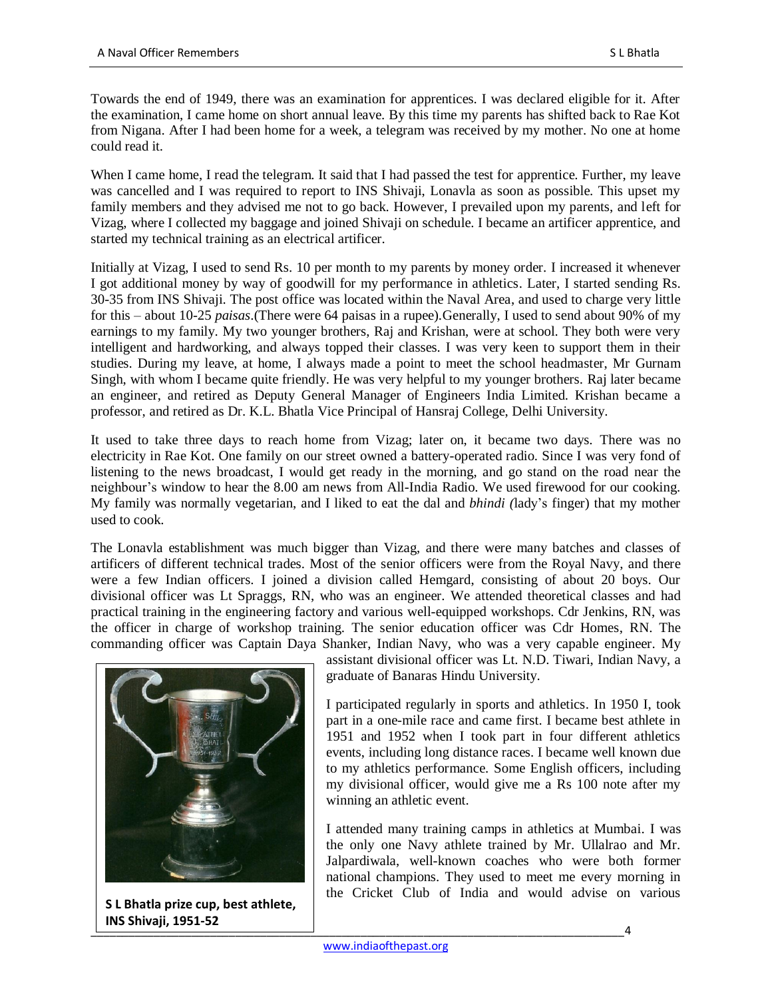Towards the end of 1949, there was an examination for apprentices. I was declared eligible for it. After the examination, I came home on short annual leave. By this time my parents has shifted back to Rae Kot from Nigana. After I had been home for a week, a telegram was received by my mother. No one at home could read it.

When I came home, I read the telegram. It said that I had passed the test for apprentice. Further, my leave was cancelled and I was required to report to INS Shivaji, Lonavla as soon as possible. This upset my family members and they advised me not to go back. However, I prevailed upon my parents, and left for Vizag, where I collected my baggage and joined Shivaji on schedule. I became an artificer apprentice, and started my technical training as an electrical artificer.

Initially at Vizag, I used to send Rs. 10 per month to my parents by money order. I increased it whenever I got additional money by way of goodwill for my performance in athletics. Later, I started sending Rs. 30-35 from INS Shivaji. The post office was located within the Naval Area, and used to charge very little for this – about 10-25 *paisas*.(There were 64 paisas in a rupee).Generally, I used to send about 90% of my earnings to my family. My two younger brothers, Raj and Krishan, were at school. They both were very intelligent and hardworking, and always topped their classes. I was very keen to support them in their studies. During my leave, at home, I always made a point to meet the school headmaster, Mr Gurnam Singh, with whom I became quite friendly. He was very helpful to my younger brothers. Raj later became an engineer, and retired as Deputy General Manager of Engineers India Limited. Krishan became a professor, and retired as Dr. K.L. Bhatla Vice Principal of Hansraj College, Delhi University.

It used to take three days to reach home from Vizag; later on, it became two days. There was no electricity in Rae Kot. One family on our street owned a battery-operated radio. Since I was very fond of listening to the news broadcast, I would get ready in the morning, and go stand on the road near the neighbour's window to hear the 8.00 am news from All-India Radio. We used firewood for our cooking. My family was normally vegetarian, and I liked to eat the dal and *bhindi (*lady's finger) that my mother used to cook.

The Lonavla establishment was much bigger than Vizag, and there were many batches and classes of artificers of different technical trades. Most of the senior officers were from the Royal Navy, and there were a few Indian officers. I joined a division called Hemgard, consisting of about 20 boys. Our divisional officer was Lt Spraggs, RN, who was an engineer. We attended theoretical classes and had practical training in the engineering factory and various well-equipped workshops. Cdr Jenkins, RN, was the officer in charge of workshop training. The senior education officer was Cdr Homes, RN. The commanding officer was Captain Daya Shanker, Indian Navy, who was a very capable engineer. My



\_\_\_\_\_\_\_\_\_\_\_\_\_\_\_\_\_\_\_\_\_\_\_\_\_\_\_\_\_\_\_\_\_\_\_\_\_\_\_\_\_\_\_\_\_\_\_\_\_\_\_\_\_\_\_\_\_\_\_\_\_\_\_\_\_\_\_\_\_\_\_\_\_\_\_\_\_\_\_\_\_\_\_\_\_4 **S L Bhatla prize cup, best athlete, INS Shivaji, 1951-52**

assistant divisional officer was Lt. N.D. Tiwari, Indian Navy, a graduate of Banaras Hindu University.

I participated regularly in sports and athletics. In 1950 I, took part in a one-mile race and came first. I became best athlete in 1951 and 1952 when I took part in four different athletics events, including long distance races. I became well known due to my athletics performance. Some English officers, including my divisional officer, would give me a Rs 100 note after my winning an athletic event.

I attended many training camps in athletics at Mumbai. I was the only one Navy athlete trained by Mr. Ullalrao and Mr. Jalpardiwala, well-known coaches who were both former national champions. They used to meet me every morning in the Cricket Club of India and would advise on various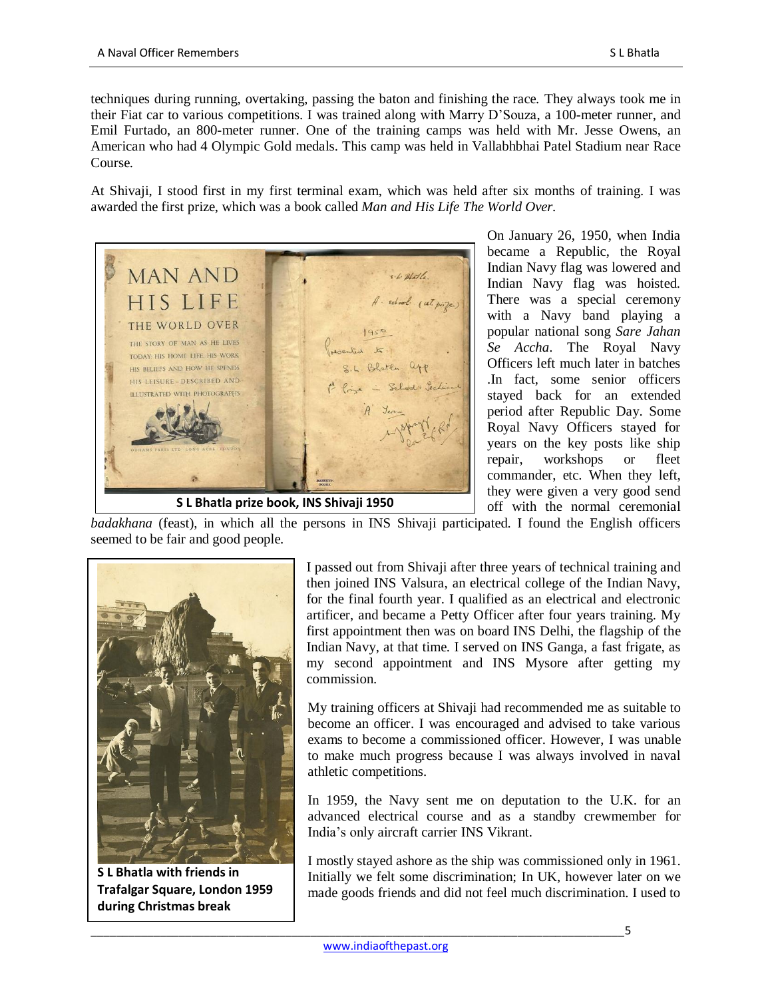techniques during running, overtaking, passing the baton and finishing the race. They always took me in their Fiat car to various competitions. I was trained along with Marry D'Souza, a 100-meter runner, and Emil Furtado, an 800-meter runner. One of the training camps was held with Mr. Jesse Owens, an American who had 4 Olympic Gold medals. This camp was held in Vallabhbhai Patel Stadium near Race Course.

At Shivaji, I stood first in my first terminal exam, which was held after six months of training. I was awarded the first prize, which was a book called *Man and His Life The World Over.*



On January 26, 1950, when India became a Republic, the Royal Indian Navy flag was lowered and Indian Navy flag was hoisted. There was a special ceremony with a Navy band playing a popular national song *Sare Jahan Se Accha*. The Royal Navy Officers left much later in batches .In fact, some senior officers stayed back for an extended period after Republic Day. Some Royal Navy Officers stayed for years on the key posts like ship repair, workshops or fleet commander, etc. When they left, they were given a very good send off with the normal ceremonial

*badakhana* (feast), in which all the persons in INS Shivaji participated. I found the English officers seemed to be fair and good people.



**S L Bhatla with friends in Trafalgar Square, London 1959 during Christmas break**

I passed out from Shivaji after three years of technical training and then joined INS Valsura, an electrical college of the Indian Navy, for the final fourth year. I qualified as an electrical and electronic artificer, and became a Petty Officer after four years training. My first appointment then was on board INS Delhi, the flagship of the Indian Navy, at that time. I served on INS Ganga, a fast frigate, as my second appointment and INS Mysore after getting my commission.

My training officers at Shivaji had recommended me as suitable to become an officer. I was encouraged and advised to take various exams to become a commissioned officer. However, I was unable to make much progress because I was always involved in naval athletic competitions.

In 1959, the Navy sent me on deputation to the U.K. for an advanced electrical course and as a standby crewmember for India's only aircraft carrier INS Vikrant.

I mostly stayed ashore as the ship was commissioned only in 1961. Initially we felt some discrimination; In UK, however later on we made goods friends and did not feel much discrimination. I used to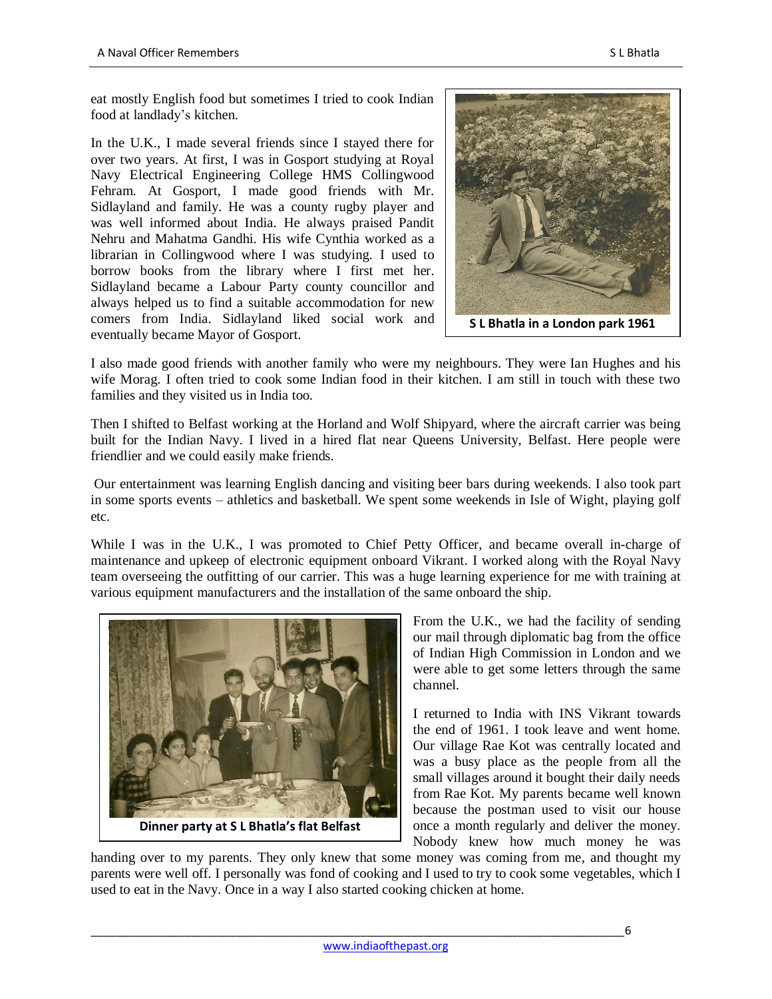eat mostly English food but sometimes I tried to cook Indian food at landlady's kitchen.

In the U.K., I made several friends since I stayed there for over two years. At first, I was in Gosport studying at Royal Navy Electrical Engineering College HMS Collingwood Fehram. At Gosport, I made good friends with Mr. Sidlayland and family. He was a county rugby player and was well informed about India. He always praised Pandit Nehru and Mahatma Gandhi. His wife Cynthia worked as a librarian in Collingwood where I was studying. I used to borrow books from the library where I first met her. Sidlayland became a Labour Party county councillor and always helped us to find a suitable accommodation for new comers from India. Sidlayland liked social work and eventually became Mayor of Gosport.



I also made good friends with another family who were my neighbours. They were Ian Hughes and his wife Morag. I often tried to cook some Indian food in their kitchen. I am still in touch with these two families and they visited us in India too.

Then I shifted to Belfast working at the Horland and Wolf Shipyard, where the aircraft carrier was being built for the Indian Navy. I lived in a hired flat near Queens University, Belfast. Here people were friendlier and we could easily make friends.

Our entertainment was learning English dancing and visiting beer bars during weekends. I also took part in some sports events – athletics and basketball. We spent some weekends in Isle of Wight, playing golf etc.

While I was in the U.K., I was promoted to Chief Petty Officer, and became overall in-charge of maintenance and upkeep of electronic equipment onboard Vikrant. I worked along with the Royal Navy team overseeing the outfitting of our carrier. This was a huge learning experience for me with training at various equipment manufacturers and the installation of the same onboard the ship.



**Dinner party at S L Bhatla's flat Belfast**

From the U.K., we had the facility of sending our mail through diplomatic bag from the office of Indian High Commission in London and we were able to get some letters through the same channel.

I returned to India with INS Vikrant towards the end of 1961. I took leave and went home. Our village Rae Kot was centrally located and was a busy place as the people from all the small villages around it bought their daily needs from Rae Kot. My parents became well known because the postman used to visit our house once a month regularly and deliver the money. Nobody knew how much money he was

handing over to my parents. They only knew that some money was coming from me, and thought my parents were well off. I personally was fond of cooking and I used to try to cook some vegetables, which I used to eat in the Navy. Once in a way I also started cooking chicken at home.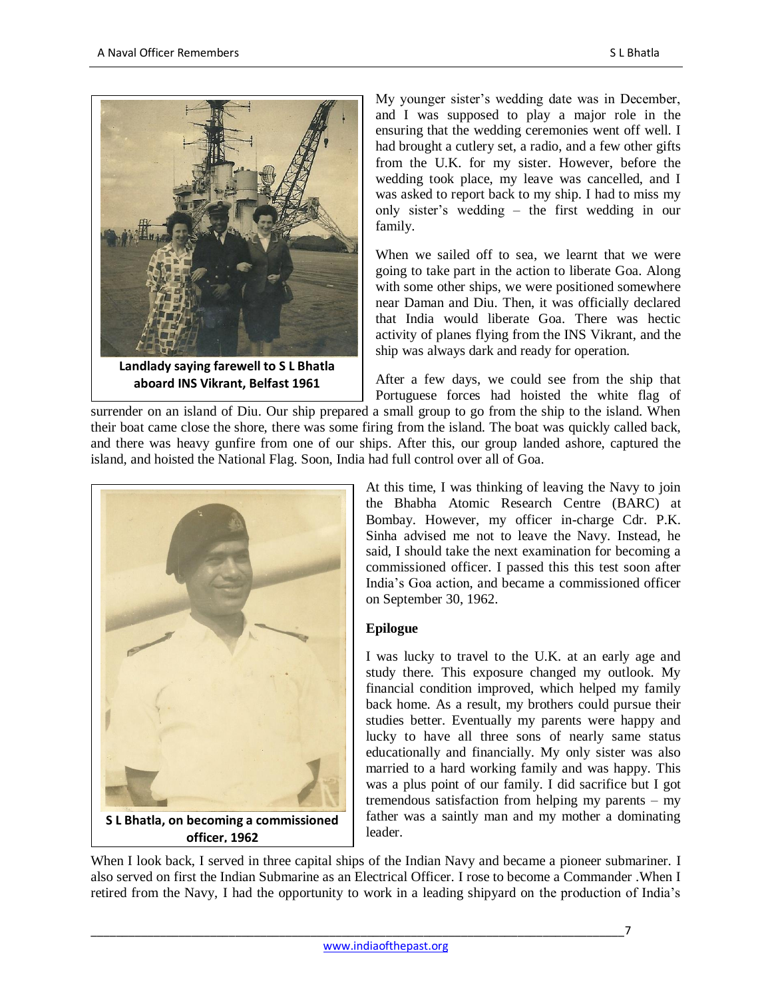

**aboard INS Vikrant, Belfast 1961**

My younger sister's wedding date was in December, and I was supposed to play a major role in the ensuring that the wedding ceremonies went off well. I had brought a cutlery set, a radio, and a few other gifts from the U.K. for my sister. However, before the wedding took place, my leave was cancelled, and I was asked to report back to my ship. I had to miss my only sister's wedding – the first wedding in our family.

When we sailed off to sea, we learnt that we were going to take part in the action to liberate Goa. Along with some other ships, we were positioned somewhere near Daman and Diu. Then, it was officially declared that India would liberate Goa. There was hectic activity of planes flying from the INS Vikrant, and the ship was always dark and ready for operation.

After a few days, we could see from the ship that Portuguese forces had hoisted the white flag of

surrender on an island of Diu. Our ship prepared a small group to go from the ship to the island. When their boat came close the shore, there was some firing from the island. The boat was quickly called back, and there was heavy gunfire from one of our ships. After this, our group landed ashore, captured the island, and hoisted the National Flag. Soon, India had full control over all of Goa.



At this time, I was thinking of leaving the Navy to join the Bhabha Atomic Research Centre (BARC) at Bombay. However, my officer in-charge Cdr. P.K. Sinha advised me not to leave the Navy. Instead, he said, I should take the next examination for becoming a commissioned officer. I passed this this test soon after India's Goa action, and became a commissioned officer on September 30, 1962.

## **Epilogue**

I was lucky to travel to the U.K. at an early age and study there. This exposure changed my outlook. My financial condition improved, which helped my family back home. As a result, my brothers could pursue their studies better. Eventually my parents were happy and lucky to have all three sons of nearly same status educationally and financially. My only sister was also married to a hard working family and was happy. This was a plus point of our family. I did sacrifice but I got tremendous satisfaction from helping my parents – my father was a saintly man and my mother a dominating leader.

When I look back, I served in three capital ships of the Indian Navy and became a pioneer submariner. I also served on first the Indian Submarine as an Electrical Officer. I rose to become a Commander .When I retired from the Navy, I had the opportunity to work in a leading shipyard on the production of India's